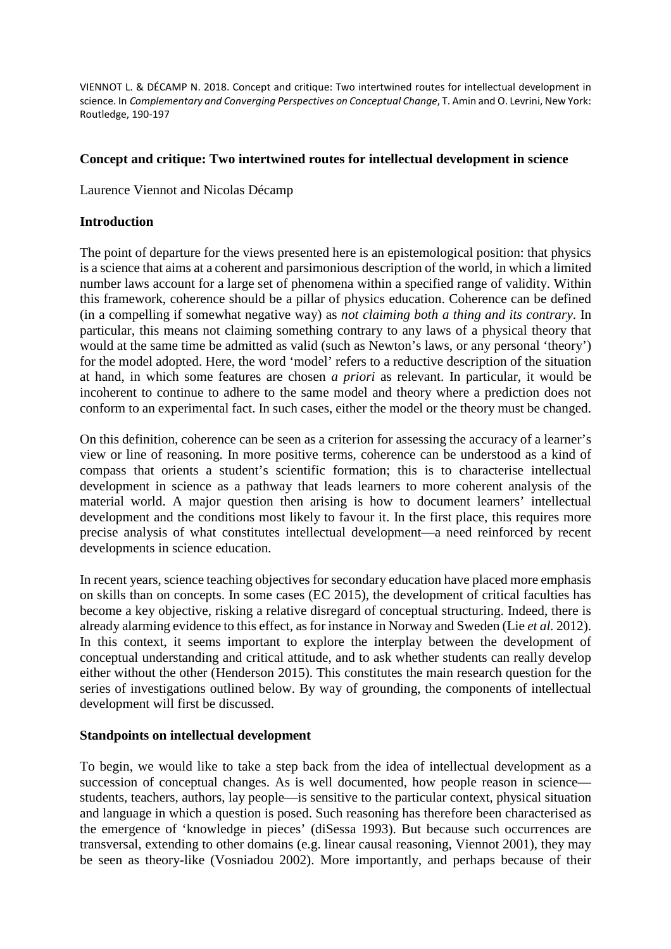VIENNOT L. & DÉCAMP N. 2018. Concept and critique: Two intertwined routes for intellectual development in science. In *Complementary and Converging Perspectives on Conceptual Change*, T. Amin and O. Levrini, New York: Routledge, 190-197

# **Concept and critique: Two intertwined routes for intellectual development in science**

Laurence Viennot and Nicolas Décamp

# **Introduction**

The point of departure for the views presented here is an epistemological position: that physics is a science that aims at a coherent and parsimonious description of the world, in which a limited number laws account for a large set of phenomena within a specified range of validity. Within this framework, coherence should be a pillar of physics education. Coherence can be defined (in a compelling if somewhat negative way) as *not claiming both a thing and its contrary*. In particular, this means not claiming something contrary to any laws of a physical theory that would at the same time be admitted as valid (such as Newton's laws, or any personal 'theory') for the model adopted. Here, the word 'model' refers to a reductive description of the situation at hand, in which some features are chosen *a priori* as relevant. In particular, it would be incoherent to continue to adhere to the same model and theory where a prediction does not conform to an experimental fact. In such cases, either the model or the theory must be changed.

On this definition, coherence can be seen as a criterion for assessing the accuracy of a learner's view or line of reasoning. In more positive terms, coherence can be understood as a kind of compass that orients a student's scientific formation; this is to characterise intellectual development in science as a pathway that leads learners to more coherent analysis of the material world. A major question then arising is how to document learners' intellectual development and the conditions most likely to favour it. In the first place, this requires more precise analysis of what constitutes intellectual development—a need reinforced by recent developments in science education.

In recent years, science teaching objectives for secondary education have placed more emphasis on skills than on concepts. In some cases (EC 2015), the development of critical faculties has become a key objective, risking a relative disregard of conceptual structuring. Indeed, there is already alarming evidence to this effect, as for instance in Norway and Sweden (Lie *et al.* 2012). In this context, it seems important to explore the interplay between the development of conceptual understanding and critical attitude, and to ask whether students can really develop either without the other (Henderson 2015). This constitutes the main research question for the series of investigations outlined below. By way of grounding, the components of intellectual development will first be discussed.

### **Standpoints on intellectual development**

To begin, we would like to take a step back from the idea of intellectual development as a succession of conceptual changes. As is well documented, how people reason in science students, teachers, authors, lay people—is sensitive to the particular context, physical situation and language in which a question is posed. Such reasoning has therefore been characterised as the emergence of 'knowledge in pieces' (diSessa 1993). But because such occurrences are transversal, extending to other domains (e.g. linear causal reasoning, Viennot 2001), they may be seen as theory-like (Vosniadou 2002). More importantly, and perhaps because of their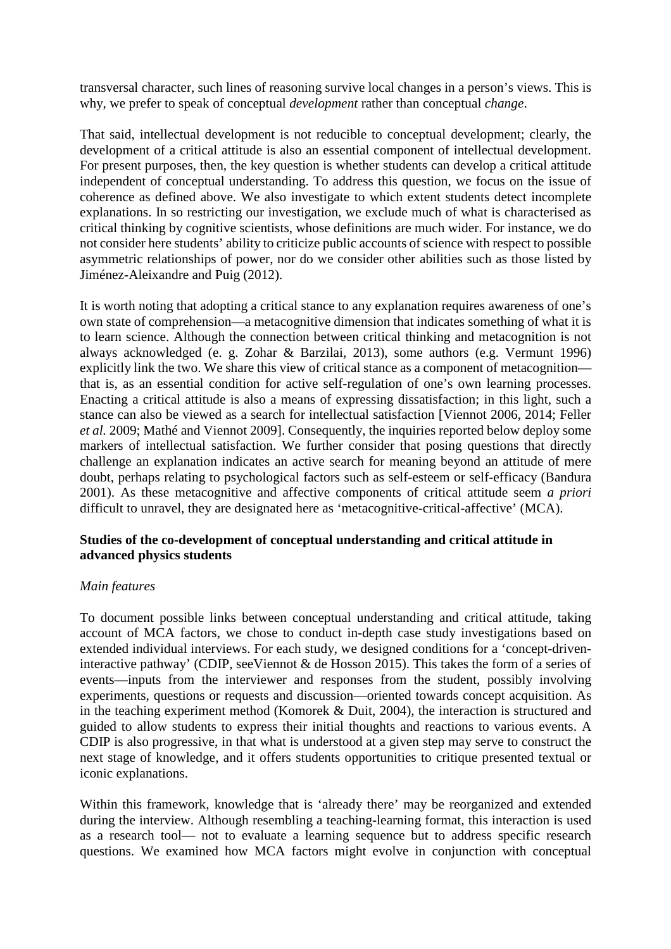transversal character, such lines of reasoning survive local changes in a person's views. This is why, we prefer to speak of conceptual *development* rather than conceptual *change*.

That said, intellectual development is not reducible to conceptual development; clearly, the development of a critical attitude is also an essential component of intellectual development. For present purposes, then, the key question is whether students can develop a critical attitude independent of conceptual understanding. To address this question, we focus on the issue of coherence as defined above. We also investigate to which extent students detect incomplete explanations. In so restricting our investigation, we exclude much of what is characterised as critical thinking by cognitive scientists, whose definitions are much wider. For instance, we do not consider here students' ability to criticize public accounts of science with respect to possible asymmetric relationships of power, nor do we consider other abilities such as those listed by Jiménez-Aleixandre and Puig (2012).

It is worth noting that adopting a critical stance to any explanation requires awareness of one's own state of comprehension—a metacognitive dimension that indicates something of what it is to learn science. Although the connection between critical thinking and metacognition is not always acknowledged (e. g. Zohar & Barzilai, 2013), some authors (e.g. Vermunt 1996) explicitly link the two. We share this view of critical stance as a component of metacognition that is, as an essential condition for active self-regulation of one's own learning processes. Enacting a critical attitude is also a means of expressing dissatisfaction; in this light, such a stance can also be viewed as a search for intellectual satisfaction [Viennot 2006, 2014; Feller *et al.* 2009; Mathé and Viennot 2009]. Consequently, the inquiries reported below deploy some markers of intellectual satisfaction. We further consider that posing questions that directly challenge an explanation indicates an active search for meaning beyond an attitude of mere doubt, perhaps relating to psychological factors such as self-esteem or self-efficacy (Bandura 2001). As these metacognitive and affective components of critical attitude seem *a priori* difficult to unravel, they are designated here as 'metacognitive-critical-affective' (MCA).

# **Studies of the co-development of conceptual understanding and critical attitude in advanced physics students**

### *Main features*

To document possible links between conceptual understanding and critical attitude, taking account of MCA factors, we chose to conduct in-depth case study investigations based on extended individual interviews. For each study, we designed conditions for a 'concept-driveninteractive pathway' (CDIP, seeViennot & de Hosson 2015). This takes the form of a series of events—inputs from the interviewer and responses from the student, possibly involving experiments, questions or requests and discussion—oriented towards concept acquisition. As in the teaching experiment method (Komorek & Duit, 2004), the interaction is structured and guided to allow students to express their initial thoughts and reactions to various events. A CDIP is also progressive, in that what is understood at a given step may serve to construct the next stage of knowledge, and it offers students opportunities to critique presented textual or iconic explanations.

Within this framework, knowledge that is 'already there' may be reorganized and extended during the interview. Although resembling a teaching-learning format, this interaction is used as a research tool— not to evaluate a learning sequence but to address specific research questions. We examined how MCA factors might evolve in conjunction with conceptual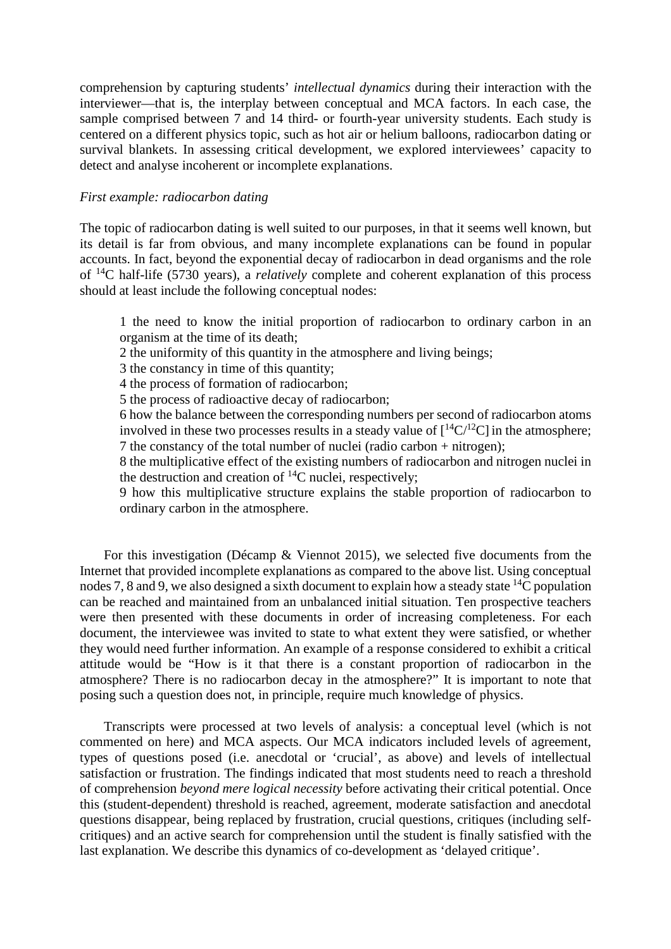comprehension by capturing students' *intellectual dynamics* during their interaction with the interviewer—that is, the interplay between conceptual and MCA factors. In each case, the sample comprised between 7 and 14 third- or fourth-year university students. Each study is centered on a different physics topic, such as hot air or helium balloons, radiocarbon dating or survival blankets. In assessing critical development, we explored interviewees' capacity to detect and analyse incoherent or incomplete explanations.

### *First example: radiocarbon dating*

The topic of radiocarbon dating is well suited to our purposes, in that it seems well known, but its detail is far from obvious, and many incomplete explanations can be found in popular accounts. In fact, beyond the exponential decay of radiocarbon in dead organisms and the role of <sup>14</sup>C half-life (5730 years), a *relatively* complete and coherent explanation of this process should at least include the following conceptual nodes:

1 the need to know the initial proportion of radiocarbon to ordinary carbon in an organism at the time of its death;

2 the uniformity of this quantity in the atmosphere and living beings;

3 the constancy in time of this quantity;

4 the process of formation of radiocarbon;

5 the process of radioactive decay of radiocarbon;

6 how the balance between the corresponding numbers per second of radiocarbon atoms involved in these two processes results in a steady value of  $[^{14}C^{12}C]$  in the atmosphere; 7 the constancy of the total number of nuclei (radio carbon + nitrogen);

8 the multiplicative effect of the existing numbers of radiocarbon and nitrogen nuclei in the destruction and creation of  ${}^{14}C$  nuclei, respectively;

9 how this multiplicative structure explains the stable proportion of radiocarbon to ordinary carbon in the atmosphere.

For this investigation (Décamp & Viennot 2015), we selected five documents from the Internet that provided incomplete explanations as compared to the above list. Using conceptual nodes 7, 8 and 9, we also designed a sixth document to explain how a steady state  $^{14}C$  population can be reached and maintained from an unbalanced initial situation. Ten prospective teachers were then presented with these documents in order of increasing completeness. For each document, the interviewee was invited to state to what extent they were satisfied, or whether they would need further information. An example of a response considered to exhibit a critical attitude would be "How is it that there is a constant proportion of radiocarbon in the atmosphere? There is no radiocarbon decay in the atmosphere?" It is important to note that posing such a question does not, in principle, require much knowledge of physics.

Transcripts were processed at two levels of analysis: a conceptual level (which is not commented on here) and MCA aspects. Our MCA indicators included levels of agreement, types of questions posed (i.e. anecdotal or 'crucial', as above) and levels of intellectual satisfaction or frustration. The findings indicated that most students need to reach a threshold of comprehension *beyond mere logical necessity* before activating their critical potential. Once this (student-dependent) threshold is reached, agreement, moderate satisfaction and anecdotal questions disappear, being replaced by frustration, crucial questions, critiques (including selfcritiques) and an active search for comprehension until the student is finally satisfied with the last explanation. We describe this dynamics of co-development as 'delayed critique'.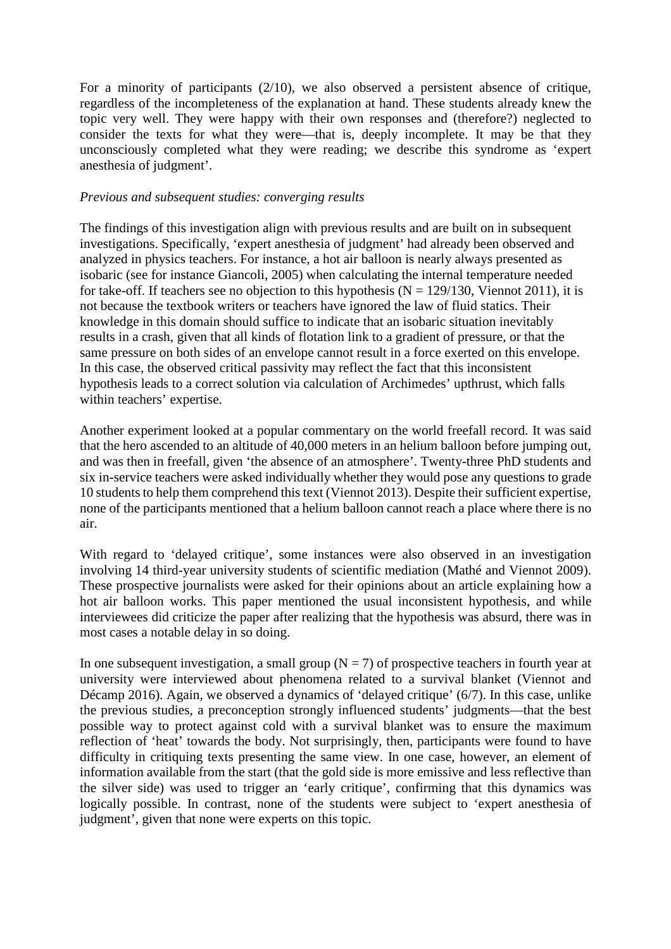For a minority of participants (2/10), we also observed a persistent absence of critique, regardless of the incompleteness of the explanation at hand. These students already knew the topic very well. They were happy with their own responses and (therefore?) neglected to consider the texts for what they were—that is, deeply incomplete. It may be that they unconsciously completed what they were reading; we describe this syndrome as 'expert anesthesia of judgment'.

# *Previous and subsequent studies: converging results*

The findings of this investigation align with previous results and are built on in subsequent investigations. Specifically, 'expert anesthesia of judgment' had already been observed and analyzed in physics teachers. For instance, a hot air balloon is nearly always presented as isobaric (see for instance Giancoli, 2005) when calculating the internal temperature needed for take-off. If teachers see no objection to this hypothesis ( $N = 129/130$ , Viennot 2011), it is not because the textbook writers or teachers have ignored the law of fluid statics. Their knowledge in this domain should suffice to indicate that an isobaric situation inevitably results in a crash, given that all kinds of flotation link to a gradient of pressure, or that the same pressure on both sides of an envelope cannot result in a force exerted on this envelope. In this case, the observed critical passivity may reflect the fact that this inconsistent hypothesis leads to a correct solution via calculation of Archimedes' upthrust, which falls within teachers' expertise.

Another experiment looked at a popular commentary on the world freefall record. It was said that the hero ascended to an altitude of 40,000 meters in an helium balloon before jumping out, and was then in freefall, given 'the absence of an atmosphere'. Twenty-three PhD students and six in-service teachers were asked individually whether they would pose any questions to grade 10 students to help them comprehend this text (Viennot 2013). Despite their sufficient expertise, none of the participants mentioned that a helium balloon cannot reach a place where there is no air.

With regard to 'delayed critique', some instances were also observed in an investigation involving 14 third-year university students of scientific mediation (Mathé and Viennot 2009). These prospective journalists were asked for their opinions about an article explaining how a hot air balloon works. This paper mentioned the usual inconsistent hypothesis, and while interviewees did criticize the paper after realizing that the hypothesis was absurd, there was in most cases a notable delay in so doing.

In one subsequent investigation, a small group  $(N = 7)$  of prospective teachers in fourth year at university were interviewed about phenomena related to a survival blanket (Viennot and Décamp 2016). Again, we observed a dynamics of 'delayed critique' (6/7). In this case, unlike the previous studies, a preconception strongly influenced students' judgments—that the best possible way to protect against cold with a survival blanket was to ensure the maximum reflection of 'heat' towards the body. Not surprisingly, then, participants were found to have difficulty in critiquing texts presenting the same view. In one case, however, an element of information available from the start (that the gold side is more emissive and less reflective than the silver side) was used to trigger an 'early critique', confirming that this dynamics was logically possible. In contrast, none of the students were subject to 'expert anesthesia of judgment', given that none were experts on this topic.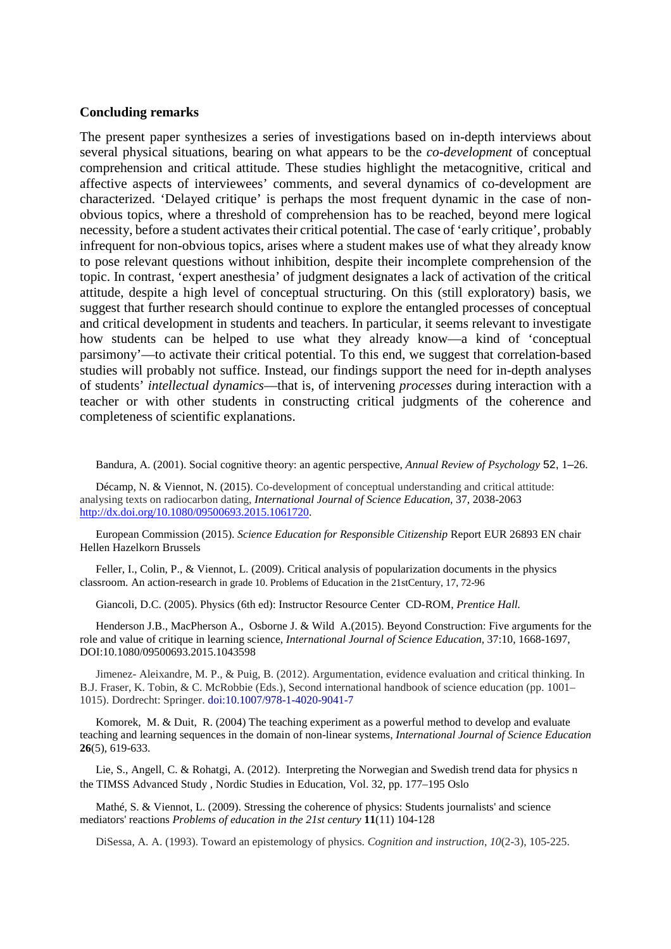#### **Concluding remarks**

The present paper synthesizes a series of investigations based on in-depth interviews about several physical situations, bearing on what appears to be the *co-development* of conceptual comprehension and critical attitude. These studies highlight the metacognitive, critical and affective aspects of interviewees' comments, and several dynamics of co-development are characterized. 'Delayed critique' is perhaps the most frequent dynamic in the case of nonobvious topics, where a threshold of comprehension has to be reached, beyond mere logical necessity, before a student activates their critical potential. The case of 'early critique', probably infrequent for non-obvious topics, arises where a student makes use of what they already know to pose relevant questions without inhibition, despite their incomplete comprehension of the topic. In contrast, 'expert anesthesia' of judgment designates a lack of activation of the critical attitude, despite a high level of conceptual structuring. On this (still exploratory) basis, we suggest that further research should continue to explore the entangled processes of conceptual and critical development in students and teachers. In particular, it seems relevant to investigate how students can be helped to use what they already know—a kind of 'conceptual parsimony'—to activate their critical potential. To this end, we suggest that correlation-based studies will probably not suffice. Instead, our findings support the need for in-depth analyses of students' *intellectual dynamics*—that is, of intervening *processes* during interaction with a teacher or with other students in constructing critical judgments of the coherence and completeness of scientific explanations.

Bandura, A. (2001). Social cognitive theory: an agentic perspective, *Annual Review of Psychology* 52, 1–26.

Décamp, N. & Viennot, N. (2015). Co-development of conceptual understanding and critical attitude: analysing texts on radiocarbon dating, *International Journal of Science Education,* 37, 2038-2063 http://dx.doi.org/10.1080/09500693.2015.1061720.

European Commission (2015). *Science Education for Responsible Citizenship* Report EUR 26893 EN chair Hellen Hazelkorn Brussels

Feller, I., Colin, P., & Viennot, L. (2009). Critical analysis of popularization documents in the physics classroom. An action-research in grade 10. Problems of Education in the 21stCentury, 17, 72-96

Giancoli, D.C. (2005). Physics (6th ed): Instructor Resource Center CD-ROM, *Prentice Hall.* 

Henderson J.B., MacPherson A., Osborne J. & Wild A.(2015). Beyond Construction: Five arguments for the role and value of critique in learning science, *International Journal of Science Education*, 37:10, 1668-1697, DOI:10.1080/09500693.2015.1043598

Jimenez- Aleixandre, M. P., & Puig, B. (2012). Argumentation, evidence evaluation and critical thinking. In B.J. Fraser, K. Tobin, & C. McRobbie (Eds.), Second international handbook of science education (pp. 1001– 1015). Dordrecht: Springer. doi:10.1007/978-1-4020-9041-7

Komorek, M. & Duit, R. (2004) The teaching experiment as a powerful method to develop and evaluate teaching and learning sequences in the domain of non-linear systems, *International Journal of Science Education* **26**(5), 619-633.

Lie, S., Angell, C. & Rohatgi, A. (2012). Interpreting the Norwegian and Swedish trend data for physics n the TIMSS Advanced Study , Nordic Studies in Education, Vol. 32, pp. 177–195 Oslo

Mathé, S. & Viennot, L. (2009). Stressing the coherence of physics: Students journalists' and science mediators' reactions *Problems of education in the 21st century* **11**(11) 104-128

DiSessa, A. A. (1993). Toward an epistemology of physics. *Cognition and instruction*, *10*(2-3), 105-225.